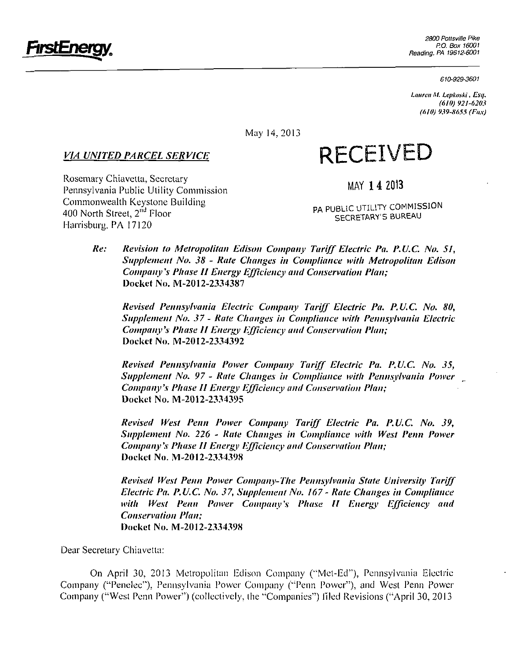

*610-929-3601* 

*Lauren M. Lepkoski, Esq. (610) 921-6203 (610) 939-8655 (Fax)* 

May 14,2013

## *VIA UNITED PARCEL SERVICE*

# **RECEIVED**

Rosemary Chiavetta, Secretary Pennsylvania Public Utility Commission Commonwealth Keystone Building 400 North Street, 2<sup>nd</sup> Floor Harrisburg. PA 17120

**MAY 14 2013** 

PA PUBLIC UTILITY COMMISSION SECRETARY'S BUREAU

**Re: Revision to Metropolitan Edison Company Tariff Electric Pa. P.U.C. No. 51, Supplement No. 38 - Rate Changes in Compliance with Metropolitan Edison Company's Phase II Energy Efficiency and Conservation Plan; Docket No. IVI-2012-2334387** 

**Revised Pennsylvania Electric Company Tariff Electric Pa. P.U.C. No. 80, Supplement No. 37- Rate Changes in Compliance with Pennsylvania Electric Company's Phase II Energy Efficiency and Conservation Plan; Docket No. M-2012-2334392** 

**Revised Pennsylvania Power Company Tariff Electric Pa. P.U.C. No. 35, Supplement No. 97 - Rate Changes in Compliance with Pennsylvania Power Company's Phase II Energy Efficiency and Conservation Plan; Docket No. M-2012-2334395** 

**Revised West Penn Power Company Tariff Electric Pa. P.U.C. No. 39, Supplement No. 226 - Rale Changes in Compliance with West Penn Power Company \\ Phase II Energy Efficiency and Conservation Plan; Docket No. M-2012-2334398** 

**Revised West Penn Power Company-The Pennsylvania State University Tariff Electric Pa. P.U.C. No. 37, Supplement No. 167 - Rate Changes in Compliance with West Penn Power Company's Phase 11 Energy Efficiency and Conservation Plan; Docket No. M-2012-2334398** 

Dear Secretary Chiavetta:

On April 30, 2013 Metropolitan Edison Company ("Met-Ed"), Pennsylvania Electric Company ("Penelec"). Pennsylvania Power Company ("Penn Power"), and West Penn Power Company ("West Penn Power") (collectively, the "Companies") filed Revisions ("April 30, 2013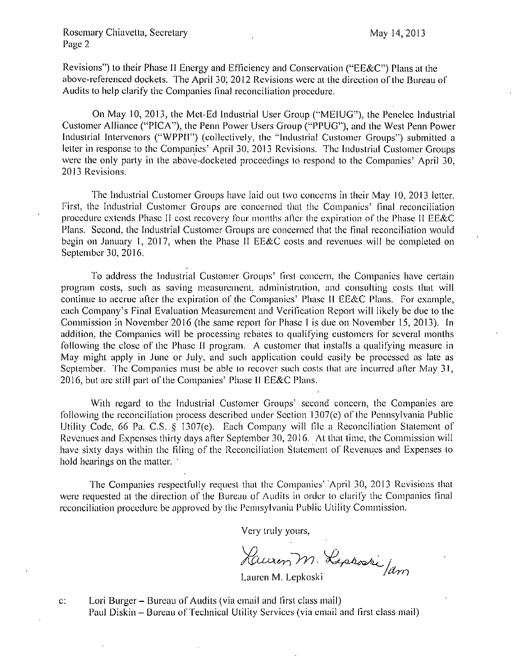#### Rosemary Chiavetta, Secretary May 14, 2013 Page 2

Revisions") to their Phase II Energy and Efficiency and Conservation ("EE&C") Plans at the above-referenced dockets. The April 30, 2012 Revisions were at the direction of the Bureau of Audits to help clarify the Companies final reconciliation procedure.

On May 10, 2013, the Met-Ed Industrial User Group ("MEIUG"), the Penelec Industrial Customer Alliance ("PICA"), the Penn Power Users Group ("PPUG"), and Ihe West Penn Power Induslrial Inlervenors ("WPPH") (collectively, the "Industrial Cuslomer Groups") submitted a letter in response to the Companies' April 30, 2013 Revisions. The Industrial Customer Groups were the only party in the above-docketed proceedings lo respond lo the Companies' April 30, 2013 Revisions.

The Industrial Customer Groups have laid out two concerns in their May 10, 2013 letter. First, the Industrial Customer Groups are concerned that the Companies' final reconciliation procedure extends Phase II cost recovery four months after the expiration of the Phase II EE&C Plans. Second, the Industrial Customer Groups are concerned lhat the final reconciliation would begin on January 1, 2017, when the Phase II EE&C costs and revenues will be completed on September 30, 2016.

To address the Industrial Customer Groups' firsl concern, ihe Companies have certain program costs, such as saving measurement, administration, and consulting costs lhat will continue lo accrue after the expiration of the Companies' Phase II EE&C Plans. For example, each Company's Final Evaluation Measurement and Verification Report will likely be due to the Commission in November 2016 (the same report for Phase I is due on November 15, 2013). In addition, the Companies will be processing rebates to qualifying customers for several months following the close of the Phase II program. A customer that installs a qualifying measure in May might apply in June or July, and such application could easily be processed as late as September. The Companies must be able to recover such costs lhat are incurred after May 31, 2016, but are still part of the Companies' Phase II EE&C Plans.

With regard to the Industrial Customer Groups' second concern, the Companies are following the reconciliation process described under Section 1307 $(e)$  of the Pennsylvania Public Utility Code, 66 Pa. C.S. § 1307(e). Each Company will file a Reconciliation Statement of Revenues and Expenses thirty days after September 30, 2016. At that time, the Commission will have sixly days within the filing of the Reconciliation Statement of Revenues and Expenses lo hold hearings on the matter.

The Companies respectfully request thai the Companies' April 30, 2013 Revisions that were requested al the direction of the Bureau of Audits in order to clarify the Companies final reconciliation procedure be approved by the Pennsylvania Public Utility Commission.

Very truly yours,

*A . i i • ftbrn* Lauren M. Lepkoski

c: Lori Burger- Bureau of Audits (via email and first class mail) Paul Diskin - Bureau of Technical Utility Services (via email and first class mail)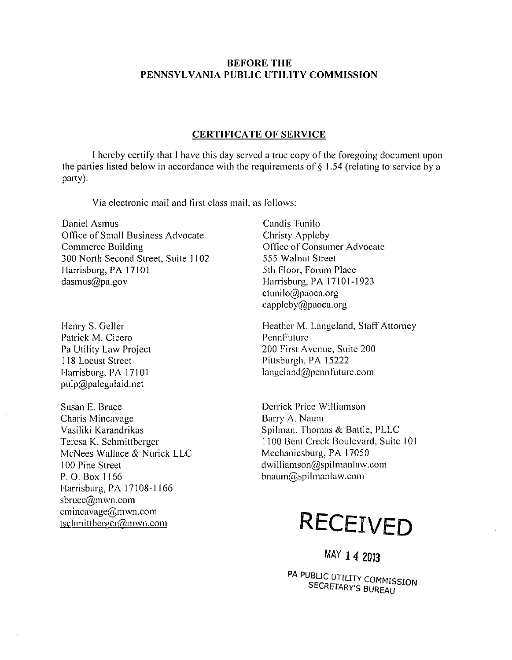### **BEFORE THE PENNSYLVANIA PUBLIC UTILITY COMMISSION**

#### **CERTIFICATE OF SERVICE**

I hereby certify that 1 have this day served a true copy of the foregoing document upon the parties listed below in accordance with the requirements of  $\S$  1.54 (relating to service by a party).

Via electronic mail and firsl class mail, as follows:

Daniel Asmus Office of Small Business Advocate Commerce Building 300 North Second Street, Suite 1102 Harrisburg, PA 17101 dasmus@pa.gov

Henry S. Geller Patrick M. Cicero Pa Utility Law Project 118 Locust Street Harrisburg, PA 17101 pulp@palegalaid.nel

Susan E. Bruce Charis Mincavage Vasiliki Karandrikas Teresa K.. Schmittbergcr McNees Wallace & Nurick LLC 100 Pine Street P. O. Box 1166 Harrisburg, PA 17108-1166 sbruce@mwn.com cmincavage@mwn.com tschmittberger@mwn.com

Candis Tunilo Christy Appleby Office of Consumer Advocate 555 Walnut Street 5th Floor, Forum Place Harrisburg, PA 17101-1923 ctunilo@paoca.org cappleby@paoca.org

Heather M. Langeland, Staff Attorney PennFulurc 200 Firsl Avenue, Suite 200 Pittsburgh, PA 15222 langeland@penn future.com

Derrick Price Williamson Barry A. Naum Spilman, Thomas & Battle, PLLC 1100 Bent Creek Boulevard, Suite 10 Mechanicsburg, PA 17050 dwilIiamson@spilmanlaw.com bnaum@spilmanlaw.com



MAY 14 2013

PA PUBLIC UTILITY COMMISSION SECRETARY'S BUREAU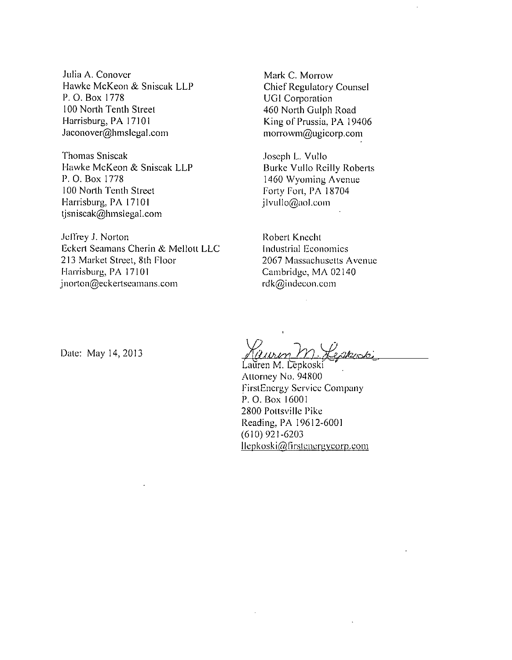Julia A. Conover Hawke McKeon & Sniscak LLP P. 0. Box 1778 100 North Tenth Street Harrisburg, PA 17101 Jaconover@hmsIegal.com

Thomas Sniscak Hawke McKeon & Sniscak LLP P. 0. Box 1778 100 North Tenth Street Harrisburg, PA 17101 tjsniscak@hmslegal.com

Jeffrey J. Norton Bckert Seamans Cherin & Mellolt LLC 213 Market Street, 8th Floor Harrisburg, PA 17101 jnorton@eckertseamans.com

Mark C. Morrow Chief Regulatory Counsel UG1 Corporation 460 North Gulph Road King of Prussia, PA 19406 morrowm@ugicorp.com

Joseph L. Vullo Burke Vullo Reilly Roberts 1460 Wyoming Avenue Forty Fori, PA 18704 jlvullo@aol.com

Robert Knecht industrial Bconomics 2067 Massachuselts Avenue Cambridge, MA 02140 rdk@indecon.com

Dale: May 14, 2013

Lauren M. Lepkoski Atlorney No. 94800 FirstEnergy Service Company P. 0. Box 16001 2800 Pottsviile Pike Reading, PA 19612-6001 (610) 921-6203 llepkoski@firstenergycorp.com